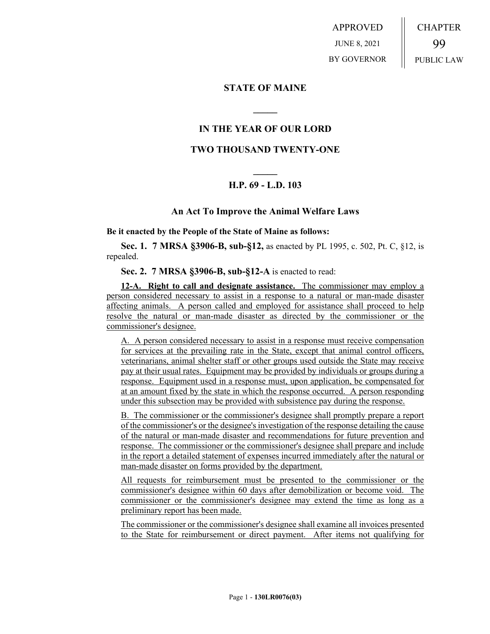APPROVED JUNE 8, 2021 BY GOVERNOR CHAPTER 99 PUBLIC LAW

### **STATE OF MAINE**

## **IN THE YEAR OF OUR LORD**

**\_\_\_\_\_**

### **TWO THOUSAND TWENTY-ONE**

# **\_\_\_\_\_ H.P. 69 - L.D. 103**

#### **An Act To Improve the Animal Welfare Laws**

**Be it enacted by the People of the State of Maine as follows:**

**Sec. 1. 7 MRSA §3906-B, sub-§12,** as enacted by PL 1995, c. 502, Pt. C, §12, is repealed.

**Sec. 2. 7 MRSA §3906-B, sub-§12-A** is enacted to read:

**12-A. Right to call and designate assistance.** The commissioner may employ a person considered necessary to assist in a response to a natural or man-made disaster affecting animals. A person called and employed for assistance shall proceed to help resolve the natural or man-made disaster as directed by the commissioner or the commissioner's designee.

A. A person considered necessary to assist in a response must receive compensation for services at the prevailing rate in the State, except that animal control officers, veterinarians, animal shelter staff or other groups used outside the State may receive pay at their usual rates. Equipment may be provided by individuals or groups during a response. Equipment used in a response must, upon application, be compensated for at an amount fixed by the state in which the response occurred. A person responding under this subsection may be provided with subsistence pay during the response.

B. The commissioner or the commissioner's designee shall promptly prepare a report of the commissioner's or the designee's investigation of the response detailing the cause of the natural or man-made disaster and recommendations for future prevention and response. The commissioner or the commissioner's designee shall prepare and include in the report a detailed statement of expenses incurred immediately after the natural or man-made disaster on forms provided by the department.

All requests for reimbursement must be presented to the commissioner or the commissioner's designee within 60 days after demobilization or become void. The commissioner or the commissioner's designee may extend the time as long as a preliminary report has been made.

The commissioner or the commissioner's designee shall examine all invoices presented to the State for reimbursement or direct payment. After items not qualifying for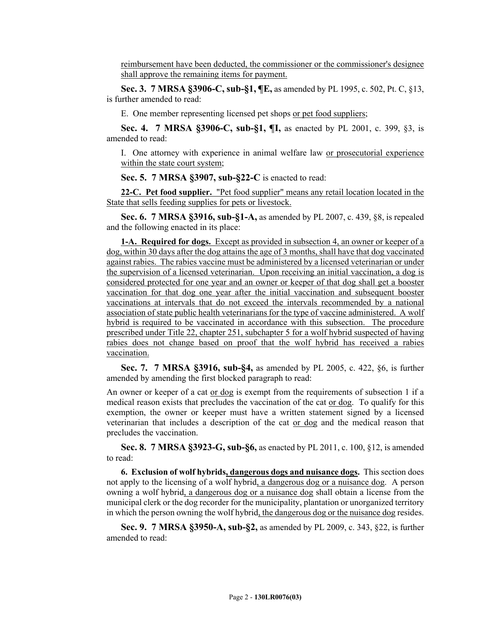reimbursement have been deducted, the commissioner or the commissioner's designee shall approve the remaining items for payment.

**Sec. 3. 7 MRSA §3906-C, sub-§1, ¶E,** as amended by PL 1995, c. 502, Pt. C, §13, is further amended to read:

E. One member representing licensed pet shops or pet food suppliers;

**Sec. 4. 7 MRSA §3906-C, sub-§1, ¶I,** as enacted by PL 2001, c. 399, §3, is amended to read:

I. One attorney with experience in animal welfare law or prosecutorial experience within the state court system;

**Sec. 5. 7 MRSA §3907, sub-§22-C** is enacted to read:

**22-C. Pet food supplier.** "Pet food supplier" means any retail location located in the State that sells feeding supplies for pets or livestock.

**Sec. 6. 7 MRSA §3916, sub-§1-A,** as amended by PL 2007, c. 439, §8, is repealed and the following enacted in its place:

**1-A. Required for dogs.** Except as provided in subsection 4, an owner or keeper of a dog, within 30 days after the dog attains the age of 3 months, shall have that dog vaccinated against rabies. The rabies vaccine must be administered by a licensed veterinarian or under the supervision of a licensed veterinarian. Upon receiving an initial vaccination, a dog is considered protected for one year and an owner or keeper of that dog shall get a booster vaccination for that dog one year after the initial vaccination and subsequent booster vaccinations at intervals that do not exceed the intervals recommended by a national association of state public health veterinarians for the type of vaccine administered. A wolf hybrid is required to be vaccinated in accordance with this subsection. The procedure prescribed under Title 22, chapter 251, subchapter 5 for a wolf hybrid suspected of having rabies does not change based on proof that the wolf hybrid has received a rabies vaccination.

**Sec. 7. 7 MRSA §3916, sub-§4,** as amended by PL 2005, c. 422, §6, is further amended by amending the first blocked paragraph to read:

An owner or keeper of a cat or dog is exempt from the requirements of subsection 1 if a medical reason exists that precludes the vaccination of the cat or dog. To qualify for this exemption, the owner or keeper must have a written statement signed by a licensed veterinarian that includes a description of the cat or dog and the medical reason that precludes the vaccination.

**Sec. 8. 7 MRSA §3923-G, sub-§6,** as enacted by PL 2011, c. 100, §12, is amended to read:

**6. Exclusion of wolf hybrids, dangerous dogs and nuisance dogs.** This section does not apply to the licensing of a wolf hybrid, a dangerous dog or a nuisance dog. A person owning a wolf hybrid, a dangerous dog or a nuisance dog shall obtain a license from the municipal clerk or the dog recorder for the municipality, plantation or unorganized territory in which the person owning the wolf hybrid, the dangerous dog or the nuisance dog resides.

**Sec. 9. 7 MRSA §3950-A, sub-§2,** as amended by PL 2009, c. 343, §22, is further amended to read: